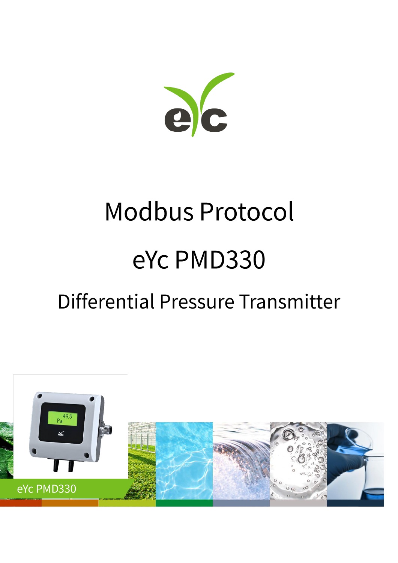

# **Modbus Protocol** eYc PMD330

# Differential Pressure Transmitter

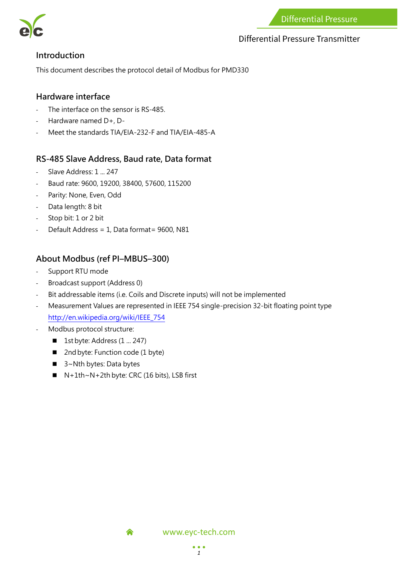

#### **Differential Pressure Transmitter**

#### **Introduction**

This document describes the protocol detail of Modbus for PMD330

#### **Hardware interface**

- The interface on the sensor is RS-485.
- Hardware named D+, D-
- Meet the standards TIA/EIA-232-F and TIA/EIA-485-A

#### **RS-485 Slave Address, Baud rate, Data format**

- Slave Address: 1 ... 247
- Baud rate: 9600, 19200, 38400, 57600, 115200
- Parity: None, Even, Odd
- Data length: 8 bit
- Stop bit: 1 or 2 bit
- Default Address = 1, Data format= 9600, N81

#### **About Modbus (ref PI–MBUS–300)**

- Support RTU mode
- Broadcast support (Address 0)
- Bit addressable items (i.e. Coils and Discrete inputs) will not be implemented
- Measurement Values are represented in IEEE 754 single-precision 32-bit floating point type [http://en.wikipedia.org/wiki/IEEE\\_754](http://en.wikipedia.org/wiki/IEEE_754)
- Modbus protocol structure:
	- **1st byte: Address (1 ... 247)**
	- 2nd byte: Function code (1 byte)
	- 3~Nth bytes: Data bytes
	- $N+1$ th~N+2th byte: CRC (16 bits), LSB first

合

www.eyc-tech.com

 $• • •$ *1*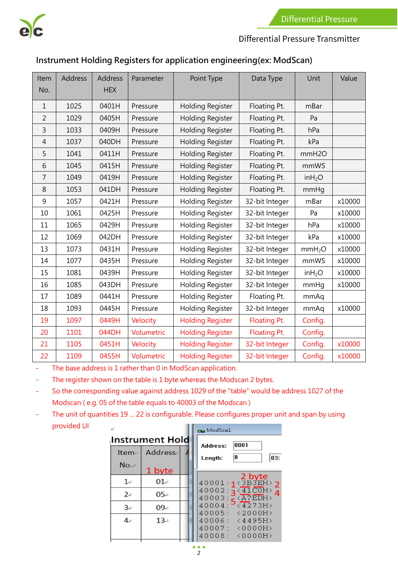

# Differential Pressure Transmitter

# **Instrument Holding Registers for application engineering(ex: ModScan)**

| Item<br>No.    | <b>Address</b> | <b>Address</b><br><b>HEX</b> | Parameter  | Point Type              | Data Type      | Unit               | Value  |
|----------------|----------------|------------------------------|------------|-------------------------|----------------|--------------------|--------|
|                |                |                              |            |                         |                |                    |        |
| $\mathbf{1}$   | 1025           | 0401H                        | Pressure   | <b>Holding Register</b> | Floating Pt.   | mBar               |        |
| $\overline{2}$ | 1029           | 0405H                        | Pressure   | <b>Holding Register</b> | Floating Pt.   | Pa                 |        |
| $\overline{3}$ | 1033           | 0409H                        | Pressure   | <b>Holding Register</b> | Floating Pt.   | hPa                |        |
| 4              | 1037           | 040DH                        | Pressure   | <b>Holding Register</b> | Floating Pt.   | kPa                |        |
| 5              | 1041           | 0411H                        | Pressure   | <b>Holding Register</b> | Floating Pt.   | mmH <sub>20</sub>  |        |
| 6              | 1045           | 0415H                        | Pressure   | <b>Holding Register</b> | Floating Pt.   | mmWS               |        |
| 7              | 1049           | 0419H                        | Pressure   | <b>Holding Register</b> | Floating Pt.   | inH <sub>2</sub> O |        |
| 8              | 1053           | 041DH                        | Pressure   | <b>Holding Register</b> | Floating Pt.   | mmHg               |        |
| 9              | 1057           | 0421H                        | Pressure   | <b>Holding Register</b> | 32-bit Integer | mBar               | x10000 |
| 10             | 1061           | 0425H                        | Pressure   | <b>Holding Register</b> | 32-bit Integer | Pa                 | x10000 |
| 11             | 1065           | 0429H                        | Pressure   | <b>Holding Register</b> | 32-bit Integer | hPa                | x10000 |
| 12             | 1069           | 042DH                        | Pressure   | Holding Register        | 32-bit Integer | kPa                | x10000 |
| 13             | 1073           | 0431H                        | Pressure   | Holding Register        | 32-bit Integer | mmH <sub>2</sub> O | x10000 |
| 14             | 1077           | 0435H                        | Pressure   | Holding Register        | 32-bit Integer | mmWS               | x10000 |
| 15             | 1081           | 0439H                        | Pressure   | Holding Register        | 32-bit Integer | inH <sub>2</sub> O | x10000 |
| 16             | 1085           | 043DH                        | Pressure   | <b>Holding Register</b> | 32-bit Integer | mmHq               | x10000 |
| 17             | 1089           | 0441H                        | Pressure   | <b>Holding Register</b> | Floating Pt.   | mmAq               |        |
| 18             | 1093           | 0445H                        | Pressure   | Holding Register        | 32-bit Integer | mmAq               | x10000 |
| 19             | 1097           | 0449H                        | Velocity   | <b>Holding Register</b> | Floating Pt.   | Config.            |        |
| 20             | 1101           | 044DH                        | Volumetric | <b>Holding Register</b> | Floating Pt.   | Config.            |        |
| 21             | 1105           | 0451H                        | Velocity   | <b>Holding Register</b> | 32-bit Integer | Config.            | x10000 |
| 22             | 1109           | 0455H                        | Volumetric | <b>Holding Register</b> | 32-bit Integer | Config.            | x10000 |

- The base address is 1 rather than 0 in ModScan application.

- The register shown on the table is 1 byte whereas the Modscan 2 bytes.

- So the corresponding value against address 1029 of the "table" would be address 1027 of the Modscan ( e.g. 05 of the table equals to 40003 of the Modscan )

- The unit of quantities 19 ... 22 is configurable. Please configures proper unit and span by using provided UIШ

|            |                        | <b>BRI</b> ModScal                                                     |  |  |  |
|------------|------------------------|------------------------------------------------------------------------|--|--|--|
|            | <b>Instrument Hold</b> | 0001<br>Address:                                                       |  |  |  |
| Item-      | Addresse               | 8<br>03:<br>Length:                                                    |  |  |  |
| No.~       | 1 byte                 |                                                                        |  |  |  |
| $1\circ$   | 01                     | $2 \text{ byte}$<br>40001:1<3B3EH>2                                    |  |  |  |
| $2\varphi$ | 05e                    | $40002: \frac{41}{\sqrt{41}}$<br>$40003:$ $K \times$ $\overline{7EDH}$ |  |  |  |
| 3e         | $09$ e                 | $40004:$ <sup>2</sup> <4273H><br>40005: <2000H>                        |  |  |  |
| 4e         | $13\degree$            | $40006: \langle 4495H \rangle$                                         |  |  |  |
|            |                        | 40007:<br>$\langle 0000H \rangle$<br>40008:<br>$\langle 0000H \rangle$ |  |  |  |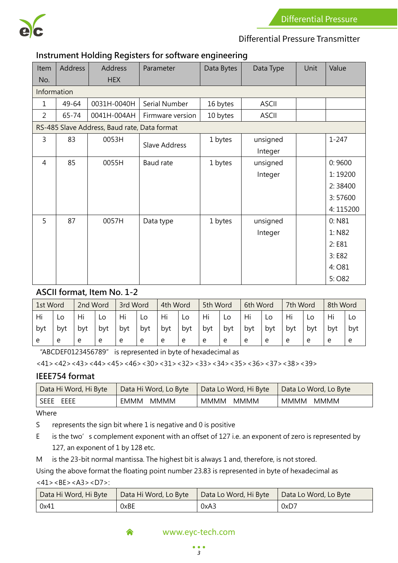

#### Differential Pressure Transmitter

#### **Instrument Holding Registers for software engineering**

| Item<br>No.    | <b>Address</b> | Address<br><b>HEX</b>                        | Parameter        | Data Bytes | Data Type    | Unit | Value     |
|----------------|----------------|----------------------------------------------|------------------|------------|--------------|------|-----------|
| Information    |                |                                              |                  |            |              |      |           |
| 1              | 49-64          | 0031H-0040H                                  | Serial Number    | 16 bytes   | <b>ASCII</b> |      |           |
|                |                |                                              |                  |            |              |      |           |
| $\overline{2}$ | 65-74          | 0041H-004AH                                  | Firmware version | 10 bytes   | <b>ASCII</b> |      |           |
|                |                | RS-485 Slave Address, Baud rate, Data format |                  |            |              |      |           |
| 3              | 83             | 0053H                                        | Slave Address    | 1 bytes    | unsigned     |      | $1 - 247$ |
|                |                |                                              |                  |            | Integer      |      |           |
| $\overline{4}$ | 85             | 0055H                                        | Baud rate        | 1 bytes    | unsigned     |      | 0:9600    |
|                |                |                                              |                  |            | Integer      |      | 1:19200   |
|                |                |                                              |                  |            |              |      | 2:38400   |
|                |                |                                              |                  |            |              |      | 3:57600   |
|                |                |                                              |                  |            |              |      | 4:115200  |
| 5              | 87             | 0057H                                        | Data type        | 1 bytes    | unsigned     |      | 0: N81    |
|                |                |                                              |                  |            | Integer      |      | 1: N82    |
|                |                |                                              |                  |            |              |      | 2:E81     |
|                |                |                                              |                  |            |              |      | 3:EB2     |
|                |                |                                              |                  |            |              |      | 4: O81    |
|                |                |                                              |                  |            |              |      | 5:082     |

#### **ASCII format, Item No. 1-2**

| 1st Word |     | 2nd Word |     | 3rd Word |     | 4th Word |     | 5th Word |     | 6th Word |     | 7th Word |     | 8th Word |     |
|----------|-----|----------|-----|----------|-----|----------|-----|----------|-----|----------|-----|----------|-----|----------|-----|
| Hi       | LO  | Hi       | Lo  | Hi       | LO  | Hi       | LO  | Hi       | Lo  | Hi       |     | Hi       | LO  |          | Lo  |
| byt      | bvt | bvt      | bvt | byt      | byt | byt      | byt | byt      | byt | byt      | byt | bvt      | bvt | byt      | byt |
|          | e   | e        | e   | e        | e   | e        | e   | e        | e   | e        | e   | e        | e   | e        | e   |

"ABCDEF0123456789" is represented in byte of hexadecimal as

 $<$ 41> $<$ 42> $<$ 43> $<$ 44> $<$ 45> $<$ 46> $<$ 30> $<$ 31> $<$ 32> $<$ 33> $<$ 34> $<$ 35> $<$ 36> $<$ 37> $<$ 38> $<$ 39>

#### **IEEE754 format**

| Data Hi Word, Hi Byte<br>Data Hi Word, Lo Byte |               | Data Lo Word, Hi Byte | Data Lo Word, Lo Byte |  |
|------------------------------------------------|---------------|-----------------------|-----------------------|--|
| I SEEE EEEE                                    | MMMM<br>EMMM. | MMMM<br>MMMM          | MMMM MMMM             |  |

Where

S represents the sign bit where 1 is negative and 0 is positive

- E is the two's complement exponent with an offset of 127 i.e. an exponent of zero is represented by 127, an exponent of 1 by 128 etc.
- M is the 23-bit normal mantissa. The highest bit is always 1 and, therefore, is not stored.

Using the above format the floating point number 23.83 is represented in byte of hexadecimal as  $<$ 41> $<$ BE $>$ <A3 $>$  $<$ D7 $>$ :

| Data Hi Word, Hi Byte | Data Hi Word, Lo Byte | Data Lo Word, Hi Byte | Data Lo Word, Lo Byte |
|-----------------------|-----------------------|-----------------------|-----------------------|
| 0x41                  | 0xBE                  | 0xA3                  | 0xD7                  |

#### www.eyc-tech.com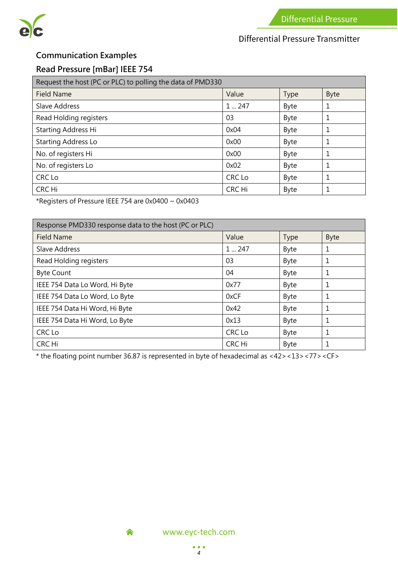

# Differential Pressure Transmitter

# **Communication Examples**

#### **Read Pressure [mBar] IEEE 754**

| Request the host (PC or PLC) to polling the data of PMD330 |               |             |             |  |  |  |
|------------------------------------------------------------|---------------|-------------|-------------|--|--|--|
| <b>Field Name</b>                                          | Value         | Type        | <b>Byte</b> |  |  |  |
| <b>Slave Address</b>                                       | $1 \dots 247$ | <b>Byte</b> | 1           |  |  |  |
| Read Holding registers                                     | 03            | Byte        |             |  |  |  |
| Starting Address Hi                                        | 0x04          | Byte        |             |  |  |  |
| <b>Starting Address Lo</b>                                 | 0x00          | Byte        |             |  |  |  |
| No. of registers Hi                                        | 0x00          | Byte        |             |  |  |  |
| No. of registers Lo                                        | 0x02          | Byte        |             |  |  |  |
| CRC Lo                                                     | CRC Lo        | Byte        | 1           |  |  |  |
| CRC Hi                                                     | CRC Hi        | Byte        |             |  |  |  |

\*Registers of Pressure IEEE 754 are 0x0400 ~ 0x0403

| Response PMD330 response data to the host (PC or PLC) |               |             |             |  |  |  |
|-------------------------------------------------------|---------------|-------------|-------------|--|--|--|
| <b>Field Name</b>                                     | Value         | <b>Type</b> | <b>Byte</b> |  |  |  |
| Slave Address                                         | $1 \dots 247$ | <b>Byte</b> | 1           |  |  |  |
| Read Holding registers                                | 03            | <b>Byte</b> | 1           |  |  |  |
| <b>Byte Count</b>                                     | 04            | Byte        | 1           |  |  |  |
| IEEE 754 Data Lo Word, Hi Byte                        | 0x77          | Byte        | 1           |  |  |  |
| IEEE 754 Data Lo Word, Lo Byte                        | 0xCF          | <b>Byte</b> | 1           |  |  |  |
| IEEE 754 Data Hi Word, Hi Byte                        | 0x42          | Byte        | 1           |  |  |  |
| IEEE 754 Data Hi Word, Lo Byte                        | 0x13          | Byte        | 1           |  |  |  |
| CRC Lo                                                | CRC Lo        | Byte        | 1           |  |  |  |
| CRC Hi                                                | CRC Hi        | <b>Byte</b> | 1           |  |  |  |

\* the floating point number 36.87 is represented in byte of hexadecimal as <42><13><77><CF>



<mark>▲</mark>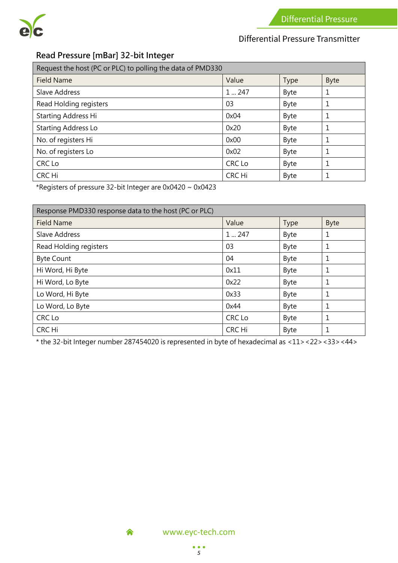

# Differential Pressure Transmitter

# **Read Pressure [mBar] 32-bit Integer**

| Request the host (PC or PLC) to polling the data of PMD330 |        |             |             |  |  |  |
|------------------------------------------------------------|--------|-------------|-------------|--|--|--|
| <b>Field Name</b>                                          | Value  | <b>Type</b> | <b>Byte</b> |  |  |  |
| Slave Address                                              | 1247   | Byte        | 1           |  |  |  |
| Read Holding registers                                     | 03     | Byte        | 1           |  |  |  |
| Starting Address Hi                                        | 0x04   | Byte        | 1           |  |  |  |
| <b>Starting Address Lo</b>                                 | 0x20   | Byte        | 1           |  |  |  |
| No. of registers Hi                                        | 0x00   | Byte        | 1           |  |  |  |
| No. of registers Lo                                        | 0x02   | Byte        | 1           |  |  |  |
| CRC Lo                                                     | CRC Lo | Byte        | 1           |  |  |  |
| CRC Hi                                                     | CRC Hi | Byte        | 1           |  |  |  |

\*Registers of pressure 32-bit Integer are 0x0420 ~ 0x0423

| Response PMD330 response data to the host (PC or PLC) |        |             |             |  |  |  |
|-------------------------------------------------------|--------|-------------|-------------|--|--|--|
| <b>Field Name</b>                                     | Value  | <b>Type</b> | <b>Byte</b> |  |  |  |
| Slave Address                                         | 1247   | Byte        | 1           |  |  |  |
| Read Holding registers                                | 03     | Byte        | 1           |  |  |  |
| <b>Byte Count</b>                                     | 04     | <b>Byte</b> | 1           |  |  |  |
| Hi Word, Hi Byte                                      | 0x11   | <b>Byte</b> | 1           |  |  |  |
| Hi Word, Lo Byte                                      | 0x22   | <b>Byte</b> | 1           |  |  |  |
| Lo Word, Hi Byte                                      | 0x33   | Byte        | 1           |  |  |  |
| Lo Word, Lo Byte                                      | 0x44   | <b>Byte</b> | 1           |  |  |  |
| CRC Lo                                                | CRC Lo | <b>Byte</b> | 1           |  |  |  |
| CRC Hi                                                | CRC Hi | <b>Byte</b> | 1           |  |  |  |

\* the 32-bit Integer number 287454020 is represented in byte of hexadecimal as <11><22><33><44>



<mark>▲</mark>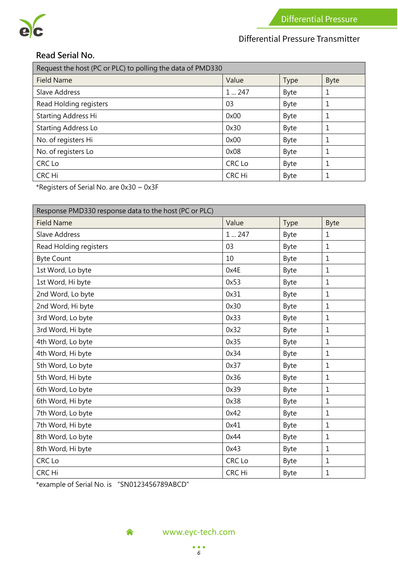

# Differential Pressure Transmitter

#### **Read Serial No.**

| Request the host (PC or PLC) to polling the data of PMD330 |        |             |             |  |  |  |
|------------------------------------------------------------|--------|-------------|-------------|--|--|--|
| <b>Field Name</b>                                          | Value  | <b>Type</b> | <b>Byte</b> |  |  |  |
| Slave Address                                              | 1247   | Byte        | 1           |  |  |  |
| Read Holding registers                                     | 03     | Byte        | 1           |  |  |  |
| Starting Address Hi                                        | 0x00   | Byte        | 1           |  |  |  |
| <b>Starting Address Lo</b>                                 | 0x30   | Byte        | 1           |  |  |  |
| No. of registers Hi                                        | 0x00   | Byte        | 1           |  |  |  |
| No. of registers Lo                                        | 0x08   | Byte        | 1           |  |  |  |
| CRC Lo                                                     | CRC Lo | <b>Byte</b> |             |  |  |  |
| CRC Hi                                                     | CRC Hi | <b>Byte</b> |             |  |  |  |

\*Registers of Serial No. are 0x30 ~ 0x3F

| Response PMD330 response data to the host (PC or PLC) |        |             |              |  |  |  |
|-------------------------------------------------------|--------|-------------|--------------|--|--|--|
| <b>Field Name</b>                                     | Value  | Type        | <b>Byte</b>  |  |  |  |
| Slave Address                                         | 1247   | Byte        | $\mathbf{1}$ |  |  |  |
| Read Holding registers                                | 03     | Byte        | $\mathbf{1}$ |  |  |  |
| <b>Byte Count</b>                                     | 10     | Byte        | $\mathbf 1$  |  |  |  |
| 1st Word, Lo byte                                     | 0x4E   | Byte        | $\mathbf 1$  |  |  |  |
| 1st Word, Hi byte                                     | 0x53   | Byte        | $\mathbf{1}$ |  |  |  |
| 2nd Word, Lo byte                                     | 0x31   | Byte        | $\mathbf 1$  |  |  |  |
| 2nd Word, Hi byte                                     | 0x30   | Byte        | $\mathbf 1$  |  |  |  |
| 3rd Word, Lo byte                                     | 0x33   | Byte        | $\mathbf 1$  |  |  |  |
| 3rd Word, Hi byte                                     | 0x32   | Byte        | $\mathbf{1}$ |  |  |  |
| 4th Word, Lo byte                                     | 0x35   | Byte        | $\mathbf{1}$ |  |  |  |
| 4th Word, Hi byte                                     | 0x34   | Byte        | 1            |  |  |  |
| 5th Word, Lo byte                                     | 0x37   | Byte        | $\mathbf{1}$ |  |  |  |
| 5th Word, Hi byte                                     | 0x36   | Byte        | $\mathbf{1}$ |  |  |  |
| 6th Word, Lo byte                                     | 0x39   | Byte        | $\mathbf 1$  |  |  |  |
| 6th Word, Hi byte                                     | 0x38   | Byte        | $\mathbf 1$  |  |  |  |
| 7th Word, Lo byte                                     | 0x42   | Byte        | $\mathbf 1$  |  |  |  |
| 7th Word, Hi byte                                     | 0x41   | Byte        | $\mathbf 1$  |  |  |  |
| 8th Word, Lo byte                                     | 0x44   | Byte        | $\mathbf{1}$ |  |  |  |
| 8th Word, Hi byte                                     | 0x43   | Byte        | $\mathbf 1$  |  |  |  |
| CRC Lo                                                | CRC Lo | Byte        | $\mathbf 1$  |  |  |  |
| CRC Hi                                                | CRC Hi | <b>Byte</b> | 1            |  |  |  |

\*example of Serial No. is "SN0123456789ABCD"

<mark>▲</mark>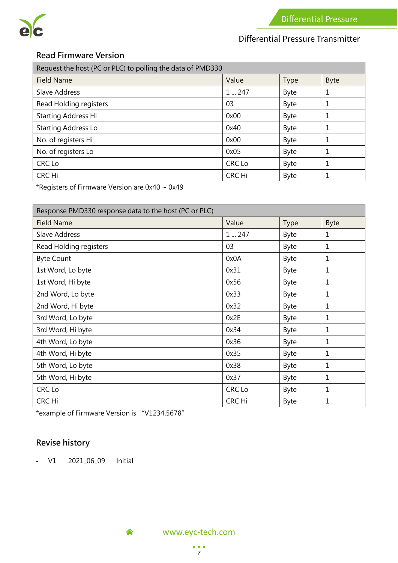

# Differential Pressure Transmitter

#### **Read Firmware Version**

| Request the host (PC or PLC) to polling the data of PMD330 |        |             |             |  |
|------------------------------------------------------------|--------|-------------|-------------|--|
| <b>Field Name</b>                                          | Value  | <b>Type</b> | <b>Byte</b> |  |
| Slave Address                                              | 1247   | Byte        | 1           |  |
| Read Holding registers                                     | 03     | Byte        | 1           |  |
| Starting Address Hi                                        | 0x00   | Byte        | 1           |  |
| <b>Starting Address Lo</b>                                 | 0x40   | Byte        | 1           |  |
| No. of registers Hi                                        | 0x00   | Byte        |             |  |
| No. of registers Lo                                        | 0x05   | Byte        | 1           |  |
| CRC Lo                                                     | CRC Lo | Byte        | 1           |  |
| CRC Hi                                                     | CRC Hi | Byte        | 1           |  |

\*Registers of Firmware Version are 0x40 ~ 0x49

| Response PMD330 response data to the host (PC or PLC) |        |             |      |  |
|-------------------------------------------------------|--------|-------------|------|--|
| <b>Field Name</b>                                     | Value  | <b>Type</b> | Byte |  |
| Slave Address                                         | 1247   | Byte        | 1    |  |
| Read Holding registers                                | 03     | Byte        | 1    |  |
| <b>Byte Count</b>                                     | 0x0A   | Byte        | 1    |  |
| 1st Word, Lo byte                                     | 0x31   | Byte        | 1    |  |
| 1st Word, Hi byte                                     | 0x56   | Byte        | 1    |  |
| 2nd Word, Lo byte                                     | 0x33   | Byte        | 1    |  |
| 2nd Word, Hi byte                                     | 0x32   | Byte        | 1    |  |
| 3rd Word, Lo byte                                     | 0x2E   | Byte        | 1    |  |
| 3rd Word, Hi byte                                     | 0x34   | Byte        | 1    |  |
| 4th Word, Lo byte                                     | 0x36   | Byte        | 1    |  |
| 4th Word, Hi byte                                     | 0x35   | Byte        | 1    |  |
| 5th Word, Lo byte                                     | 0x38   | Byte        | 1    |  |
| 5th Word, Hi byte                                     | 0x37   | Byte        | 1    |  |
| CRC Lo                                                | CRC Lo | Byte        | 1    |  |
| CRC Hi                                                | CRC Hi | Byte        | 1    |  |

\*example of Firmware Version is "V1234.5678"

<mark>▲</mark>

# **Revise history**

- V1 2021\_06\_09 Initial